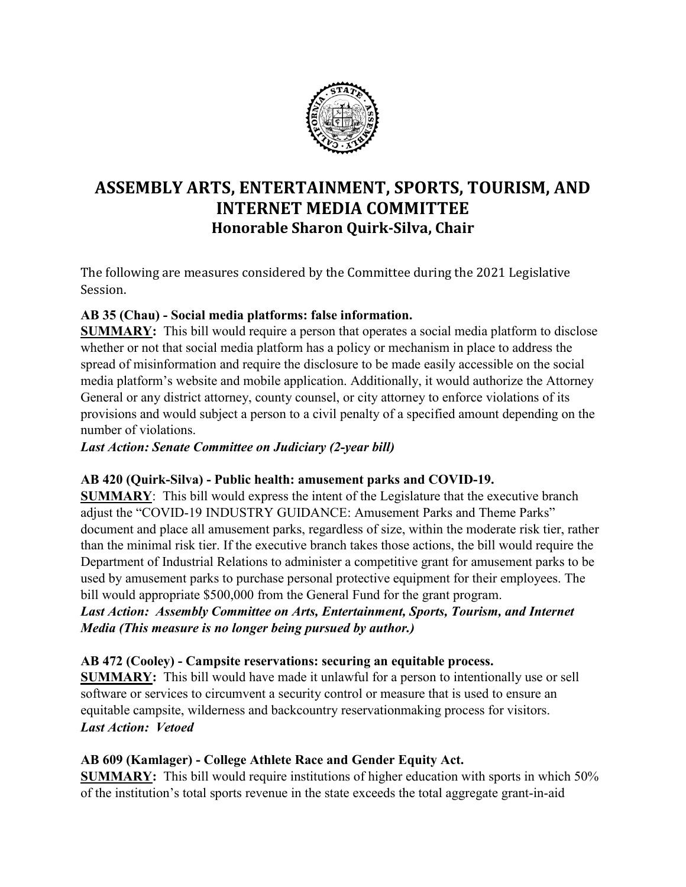

# **ASSEMBLY ARTS, ENTERTAINMENT, SPORTS, TOURISM, AND INTERNET MEDIA COMMITTEE Honorable Sharon Quirk-Silva, Chair**

The following are measures considered by the Committee during the 2021 Legislative Session.

## **AB 35 (Chau) - Social media platforms: false information.**

**SUMMARY:** This bill would require a person that operates a social media platform to disclose whether or not that social media platform has a policy or mechanism in place to address the spread of misinformation and require the disclosure to be made easily accessible on the social media platform's website and mobile application. Additionally, it would authorize the Attorney General or any district attorney, county counsel, or city attorney to enforce violations of its provisions and would subject a person to a civil penalty of a specified amount depending on the number of violations.

*Last Action: Senate Committee on Judiciary (2-year bill)*

## **AB 420 (Quirk-Silva) - Public health: amusement parks and COVID-19.**

**SUMMARY**: This bill would express the intent of the Legislature that the executive branch adjust the "COVID-19 INDUSTRY GUIDANCE: Amusement Parks and Theme Parks" document and place all amusement parks, regardless of size, within the moderate risk tier, rather than the minimal risk tier. If the executive branch takes those actions, the bill would require the Department of Industrial Relations to administer a competitive grant for amusement parks to be used by amusement parks to purchase personal protective equipment for their employees. The bill would appropriate \$500,000 from the General Fund for the grant program.

*Last Action:**Assembly Committee on Arts, Entertainment, Sports, Tourism, and Internet Media (This measure is no longer being pursued by author.)*

## **AB 472 (Cooley) - Campsite reservations: securing an equitable process.**

**SUMMARY:** This bill would have made it unlawful for a person to intentionally use or sell software or services to circumvent a security control or measure that is used to ensure an equitable campsite, wilderness and backcountry reservationmaking process for visitors. *Last Action:**Vetoed*

## **AB 609 (Kamlager) - College Athlete Race and Gender Equity Act.**

**SUMMARY:** This bill would require institutions of higher education with sports in which 50% of the institution's total sports revenue in the state exceeds the total aggregate grant-in-aid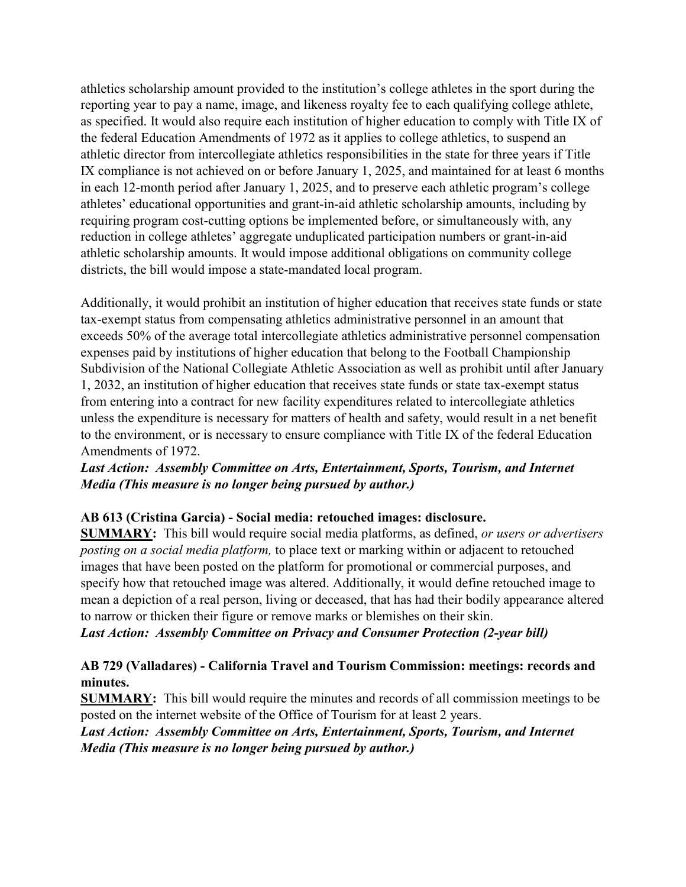athletics scholarship amount provided to the institution's college athletes in the sport during the reporting year to pay a name, image, and likeness royalty fee to each qualifying college athlete, as specified. It would also require each institution of higher education to comply with Title IX of the federal Education Amendments of 1972 as it applies to college athletics, to suspend an athletic director from intercollegiate athletics responsibilities in the state for three years if Title IX compliance is not achieved on or before January 1, 2025, and maintained for at least 6 months in each 12-month period after January 1, 2025, and to preserve each athletic program's college athletes' educational opportunities and grant-in-aid athletic scholarship amounts, including by requiring program cost-cutting options be implemented before, or simultaneously with, any reduction in college athletes' aggregate unduplicated participation numbers or grant-in-aid athletic scholarship amounts. It would impose additional obligations on community college districts, the bill would impose a state-mandated local program.

Additionally, it would prohibit an institution of higher education that receives state funds or state tax-exempt status from compensating athletics administrative personnel in an amount that exceeds 50% of the average total intercollegiate athletics administrative personnel compensation expenses paid by institutions of higher education that belong to the Football Championship Subdivision of the National Collegiate Athletic Association as well as prohibit until after January 1, 2032, an institution of higher education that receives state funds or state tax-exempt status from entering into a contract for new facility expenditures related to intercollegiate athletics unless the expenditure is necessary for matters of health and safety, would result in a net benefit to the environment, or is necessary to ensure compliance with Title IX of the federal Education Amendments of 1972.

## *Last Action:**Assembly Committee on Arts, Entertainment, Sports, Tourism, and Internet Media (This measure is no longer being pursued by author.)*

#### **AB 613 (Cristina Garcia) - Social media: retouched images: disclosure.**

**SUMMARY:** This bill would require social media platforms, as defined, *or users or advertisers posting on a social media platform,* to place text or marking within or adjacent to retouched images that have been posted on the platform for promotional or commercial purposes, and specify how that retouched image was altered. Additionally, it would define retouched image to mean a depiction of a real person, living or deceased, that has had their bodily appearance altered to narrow or thicken their figure or remove marks or blemishes on their skin.

*Last Action: Assembly Committee on Privacy and Consumer Protection (2-year bill)*

## **AB 729 (Valladares) - California Travel and Tourism Commission: meetings: records and minutes.**

**SUMMARY:** This bill would require the minutes and records of all commission meetings to be posted on the internet website of the Office of Tourism for at least 2 years.

*Last Action:**Assembly Committee on Arts, Entertainment, Sports, Tourism, and Internet Media (This measure is no longer being pursued by author.)*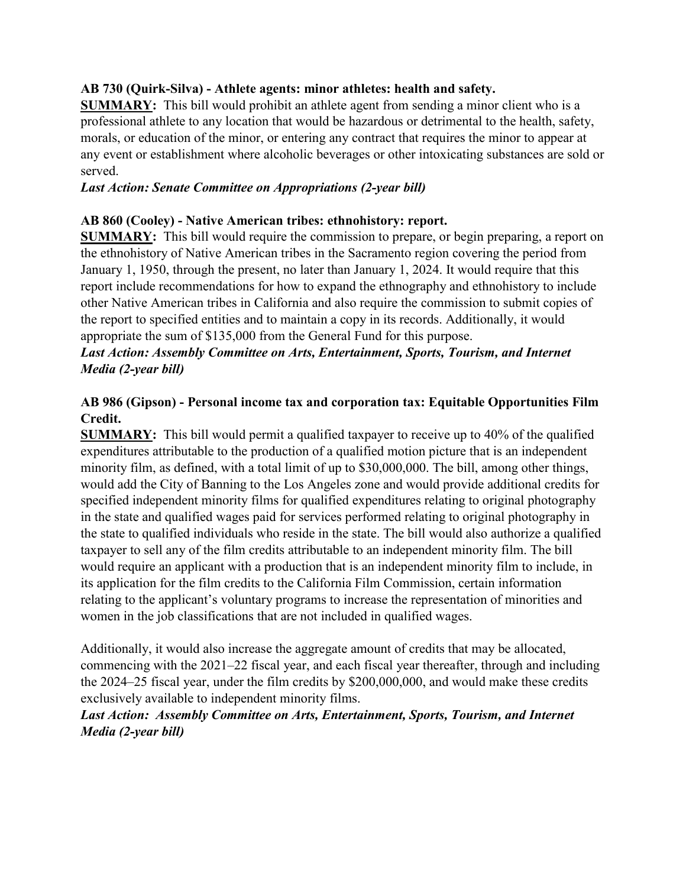#### **AB 730 (Quirk-Silva) - Athlete agents: minor athletes: health and safety.**

**SUMMARY:** This bill would prohibit an athlete agent from sending a minor client who is a professional athlete to any location that would be hazardous or detrimental to the health, safety, morals, or education of the minor, or entering any contract that requires the minor to appear at any event or establishment where alcoholic beverages or other intoxicating substances are sold or served.

#### *Last Action: Senate Committee on Appropriations (2-year bill)*

#### **AB 860 (Cooley) - Native American tribes: ethnohistory: report.**

**SUMMARY:** This bill would require the commission to prepare, or begin preparing, a report on the ethnohistory of Native American tribes in the Sacramento region covering the period from January 1, 1950, through the present, no later than January 1, 2024. It would require that this report include recommendations for how to expand the ethnography and ethnohistory to include other Native American tribes in California and also require the commission to submit copies of the report to specified entities and to maintain a copy in its records. Additionally, it would appropriate the sum of \$135,000 from the General Fund for this purpose.

## *Last Action: Assembly Committee on Arts, Entertainment, Sports, Tourism, and Internet Media (2-year bill)*

## **AB 986 (Gipson) - Personal income tax and corporation tax: Equitable Opportunities Film Credit.**

**SUMMARY:** This bill would permit a qualified taxpayer to receive up to 40% of the qualified expenditures attributable to the production of a qualified motion picture that is an independent minority film, as defined, with a total limit of up to \$30,000,000. The bill, among other things, would add the City of Banning to the Los Angeles zone and would provide additional credits for specified independent minority films for qualified expenditures relating to original photography in the state and qualified wages paid for services performed relating to original photography in the state to qualified individuals who reside in the state. The bill would also authorize a qualified taxpayer to sell any of the film credits attributable to an independent minority film. The bill would require an applicant with a production that is an independent minority film to include, in its application for the film credits to the California Film Commission, certain information relating to the applicant's voluntary programs to increase the representation of minorities and women in the job classifications that are not included in qualified wages.

Additionally, it would also increase the aggregate amount of credits that may be allocated, commencing with the 2021–22 fiscal year, and each fiscal year thereafter, through and including the 2024–25 fiscal year, under the film credits by \$200,000,000, and would make these credits exclusively available to independent minority films.

## *Last Action:**Assembly Committee on Arts, Entertainment, Sports, Tourism, and Internet Media (2-year bill)*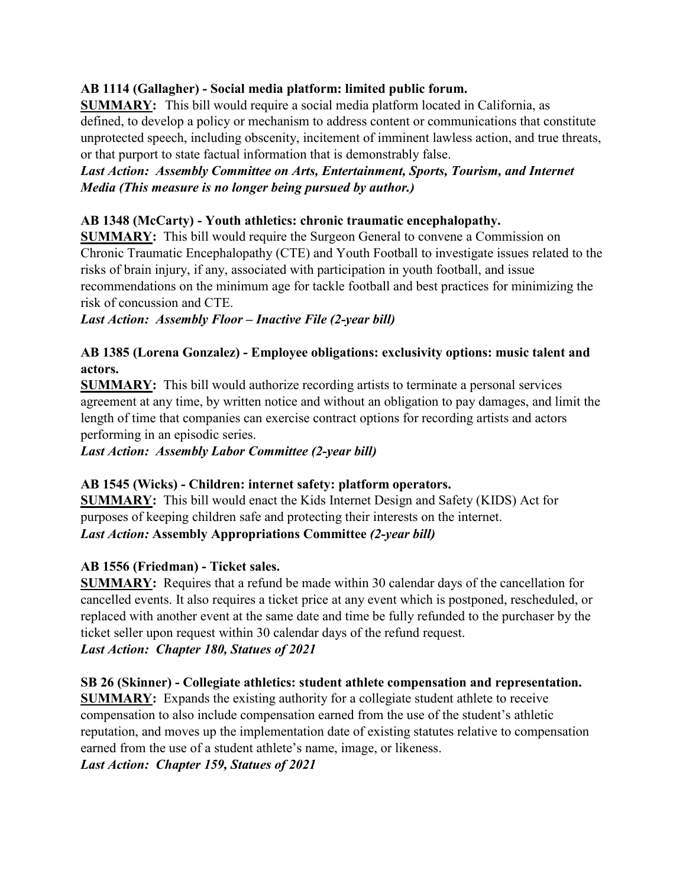## **AB 1114 (Gallagher) - Social media platform: limited public forum.**

**SUMMARY:** This bill would require a social media platform located in California, as defined, to develop a policy or mechanism to address content or communications that constitute unprotected speech, including obscenity, incitement of imminent lawless action, and true threats, or that purport to state factual information that is demonstrably false.

## *Last Action:**Assembly Committee on Arts, Entertainment, Sports, Tourism, and Internet Media (This measure is no longer being pursued by author.)*

#### **AB 1348 (McCarty) - Youth athletics: chronic traumatic encephalopathy.**

**SUMMARY:** This bill would require the Surgeon General to convene a Commission on Chronic Traumatic Encephalopathy (CTE) and Youth Football to investigate issues related to the risks of brain injury, if any, associated with participation in youth football, and issue recommendations on the minimum age for tackle football and best practices for minimizing the risk of concussion and CTE.

## *Last Action: Assembly Floor – Inactive File (2-year bill)*

## **AB 1385 (Lorena Gonzalez) - Employee obligations: exclusivity options: music talent and actors.**

**SUMMARY:** This bill would authorize recording artists to terminate a personal services agreement at any time, by written notice and without an obligation to pay damages, and limit the length of time that companies can exercise contract options for recording artists and actors performing in an episodic series.

*Last Action: Assembly Labor Committee (2-year bill)*

#### **AB 1545 (Wicks) - Children: internet safety: platform operators.**

**SUMMARY:** This bill would enact the Kids Internet Design and Safety (KIDS) Act for purposes of keeping children safe and protecting their interests on the internet. *Last Action:* **Assembly Appropriations Committee** *(2-year bill)*

## **AB 1556 (Friedman) - Ticket sales.**

**SUMMARY:** Requires that a refund be made within 30 calendar days of the cancellation for cancelled events. It also requires a ticket price at any event which is postponed, rescheduled, or replaced with another event at the same date and time be fully refunded to the purchaser by the ticket seller upon request within 30 calendar days of the refund request.

## *Last Action:**Chapter 180, Statues of 2021*

#### **SB 26 (Skinner) - Collegiate athletics: student athlete compensation and representation.**

**SUMMARY:** Expands the existing authority for a collegiate student athlete to receive compensation to also include compensation earned from the use of the student's athletic reputation, and moves up the implementation date of existing statutes relative to compensation earned from the use of a student athlete's name, image, or likeness.

*Last Action: Chapter 159, Statues of 2021*